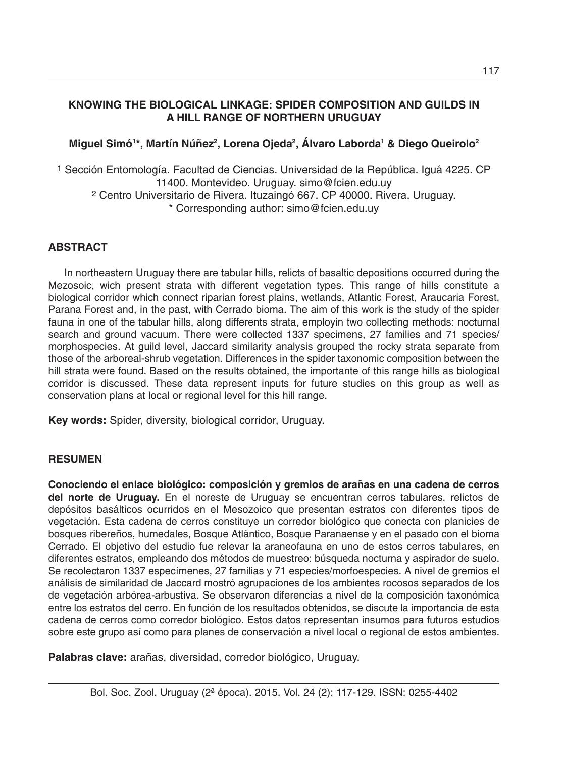# **KNOWING THE BIOLOGICAL LINKAGE: SPIDER COMPOSITION AND GUILDS IN A HILL RANGE OF NORTHERN URUGUAY**

# Miguel Simó<sup>1</sup>\*, Martín Núñez<sup>2</sup>, Lorena Ojeda<sup>2</sup>, Alvaro Laborda<sup>1</sup> & Diego Queirolo<sup>2</sup>

1 Sección Entomología. Facultad de Ciencias. Universidad de la República. Iguá 4225. CP 11400. Montevideo. Uruguay. simo@fcien.edu.uy 2 Centro Universitario de Rivera. Ituzaingó 667. CP 40000. Rivera. Uruguay. \* Corresponding author: simo@fcien.edu.uy

### **ABSTRACT**

In northeastern Uruguay there are tabular hills, relicts of basaltic depositions occurred during the Mezosoic, wich present strata with different vegetation types. This range of hills constitute a biological corridor which connect riparian forest plains, wetlands, Atlantic Forest, Araucaria Forest, Parana Forest and, in the past, with Cerrado bioma. The aim of this work is the study of the spider fauna in one of the tabular hills, along differents strata, employin two collecting methods: nocturnal search and ground vacuum. There were collected 1337 specimens, 27 families and 71 species/ morphospecies. At guild level, Jaccard similarity analysis grouped the rocky strata separate from those of the arboreal-shrub vegetation. Differences in the spider taxonomic composition between the hill strata were found. Based on the results obtained, the importante of this range hills as biological corridor is discussed. These data represent inputs for future studies on this group as well as conservation plans at local or regional level for this hill range.

**Key words:** Spider, diversity, biological corridor, Uruguay.

#### **RESUMEN**

**Conociendo el enlace biológico: composición y gremios de arañas en una cadena de cerros del norte de Uruguay.** En el noreste de Uruguay se encuentran cerros tabulares, relictos de depósitos basálticos ocurridos en el Mesozoico que presentan estratos con diferentes tipos de vegetación. Esta cadena de cerros constituye un corredor biológico que conecta con planicies de bosques ribereños, humedales, Bosque Atlántico, Bosque Paranaense y en el pasado con el bioma Cerrado. El objetivo del estudio fue relevar la araneofauna en uno de estos cerros tabulares, en diferentes estratos, empleando dos métodos de muestreo: búsqueda nocturna y aspirador de suelo. Se recolectaron 1337 especímenes, 27 familias y 71 especies/morfoespecies. A nivel de gremios el análisis de similaridad de Jaccard mostró agrupaciones de los ambientes rocosos separados de los de vegetación arbórea-arbustiva. Se observaron diferencias a nivel de la composición taxonómica entre los estratos del cerro. En función de los resultados obtenidos, se discute la importancia de esta cadena de cerros como corredor biológico. Estos datos representan insumos para futuros estudios sobre este grupo así como para planes de conservación a nivel local o regional de estos ambientes.

**Palabras clave:** arañas, diversidad, corredor biológico, Uruguay.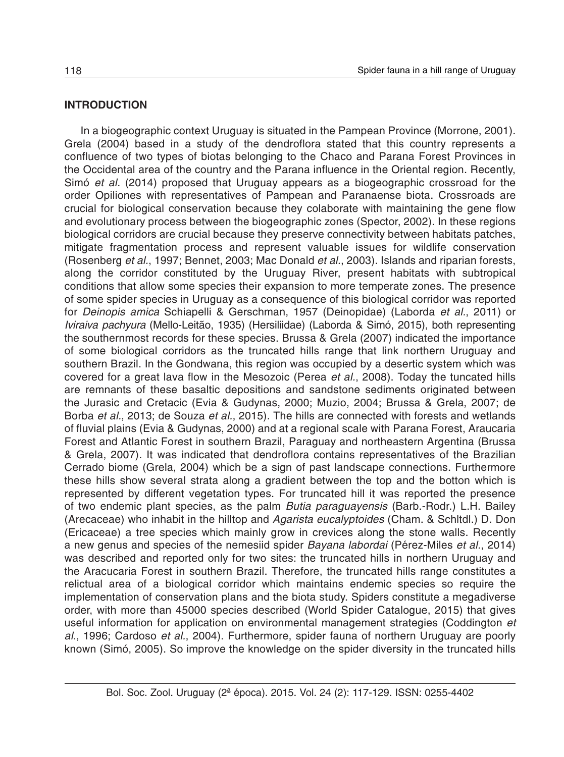#### **INTRODUCTION**

In a biogeographic context Uruguay is situated in the Pampean Province (Morrone, 2001). Grela (2004) based in a study of the dendroflora stated that this country represents a confluence of two types of biotas belonging to the Chaco and Parana Forest Provinces in the Occidental area of the country and the Parana influence in the Oriental region. Recently, Simó *et al.* (2014) proposed that Uruguay appears as a biogeographic crossroad for the order Opiliones with representatives of Pampean and Paranaense biota. Crossroads are crucial for biological conservation because they colaborate with maintaining the gene flow and evolutionary process between the biogeographic zones (Spector, 2002). In these regions biological corridors are crucial because they preserve connectivity between habitats patches, mitigate fragmentation process and represent valuable issues for wildlife conservation (Rosenberg *et al.*, 1997; Bennet, 2003; Mac Donald *et al.*, 2003). Islands and riparian forests, along the corridor constituted by the Uruguay River, present habitats with subtropical conditions that allow some species their expansion to more temperate zones. The presence of some spider species in Uruguay as a consequence of this biological corridor was reported for *Deinopis amica* Schiapelli & Gerschman, 1957 (Deinopidae) (Laborda *et al.*, 2011) or *Iviraiva pachyura* (Mello-Leitão, 1935) (Hersiliidae) (Laborda & Simó, 2015), both representing the southernmost records for these species. Brussa & Grela (2007) indicated the importance of some biological corridors as the truncated hills range that link northern Uruguay and southern Brazil. In the Gondwana, this region was occupied by a desertic system which was covered for a great lava flow in the Mesozoic (Perea *et al.*, 2008). Today the tuncated hills are remnants of these basaltic depositions and sandstone sediments originated between the Jurasic and Cretacic (Evia & Gudynas, 2000; Muzio, 2004; Brussa & Grela, 2007; de Borba *et al.*, 2013; de Souza *et al.*, 2015). The hills are connected with forests and wetlands of fluvial plains (Evia & Gudynas, 2000) and at a regional scale with Parana Forest, Araucaria Forest and Atlantic Forest in southern Brazil, Paraguay and northeastern Argentina (Brussa & Grela, 2007). It was indicated that dendroflora contains representatives of the Brazilian Cerrado biome (Grela, 2004) which be a sign of past landscape connections. Furthermore these hills show several strata along a gradient between the top and the botton which is represented by different vegetation types. For truncated hill it was reported the presence of two endemic plant species, as the palm *Butia paraguayensis* (Barb.-Rodr.) L.H. Bailey (Arecaceae) who inhabit in the hilltop and *Agarista eucalyptoides* (Cham. & Schltdl.) D. Don (Ericaceae) a tree species which mainly grow in crevices along the stone walls. Recently a new genus and species of the nemesiid spider *Bayana labordai* (Pérez-Miles *et al.*, 2014) was described and reported only for two sites: the truncated hills in northern Uruguay and the Aracucaria Forest in southern Brazil. Therefore, the truncated hills range constitutes a relictual area of a biological corridor which maintains endemic species so require the implementation of conservation plans and the biota study. Spiders constitute a megadiverse order, with more than 45000 species described (World Spider Catalogue, 2015) that gives useful information for application on environmental management strategies (Coddington *et al.*, 1996; Cardoso *et al.*, 2004). Furthermore, spider fauna of northern Uruguay are poorly known (Simó, 2005). So improve the knowledge on the spider diversity in the truncated hills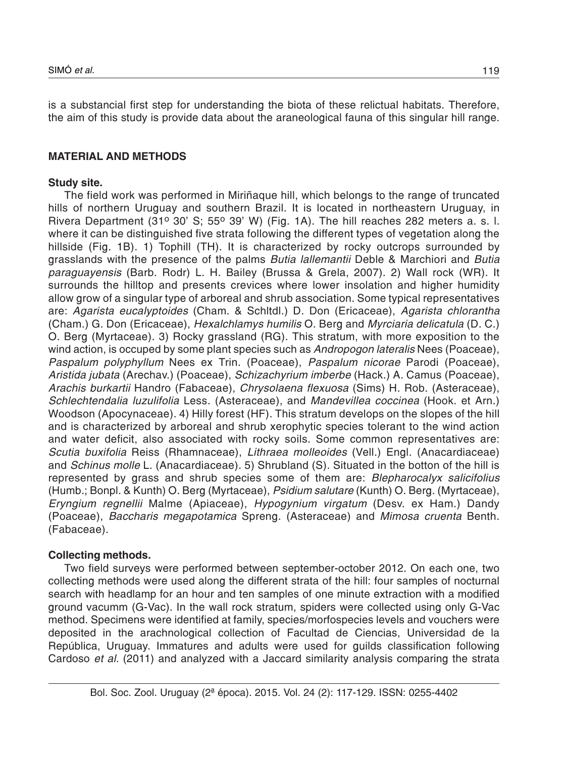is a substancial first step for understanding the biota of these relictual habitats. Therefore, the aim of this study is provide data about the araneological fauna of this singular hill range.

# **MATERIAL AND METHODS**

### **Study site.**

The field work was performed in Miriñaque hill, which belongs to the range of truncated hills of northern Uruguay and southern Brazil. It is located in northeastern Uruguay, in Rivera Department (31° 30' S; 55° 39' W) (Fig. 1A). The hill reaches 282 meters a. s. l. where it can be distinguished five strata following the different types of vegetation along the hillside (Fig. 1B). 1) Tophill (TH). It is characterized by rocky outcrops surrounded by grasslands with the presence of the palms *Butia lallemantii* Deble & Marchiori and *Butia paraguayensis* (Barb. Rodr) L. H. Bailey (Brussa & Grela, 2007). 2) Wall rock (WR). It surrounds the hilltop and presents crevices where lower insolation and higher humidity allow grow of a singular type of arboreal and shrub association. Some typical representatives are: *Agarista eucalyptoides* (Cham. & Schltdl.) D. Don (Ericaceae), *Agarista chlorantha* (Cham.) G. Don (Ericaceae), *Hexalchlamys humilis* O. Berg and *Myrciaria delicatula* (D. C.) O. Berg (Myrtaceae). 3) Rocky grassland (RG). This stratum, with more exposition to the wind action, is occuped by some plant species such as *Andropogon lateralis* Nees (Poaceae), *Paspalum polyphyllum* Nees ex Trin. (Poaceae), *Paspalum nicorae* Parodi (Poaceae), *Aristida jubata* (Arechav.) (Poaceae), *Schizachyrium imberbe* (Hack.) A. Camus (Poaceae), *Arachis burkartii* Handro (Fabaceae), *Chrysolaena flexuosa* (Sims) H. Rob. (Asteraceae), *Schlechtendalia luzulifolia* Less. (Asteraceae), and *Mandevillea coccinea* (Hook. et Arn.) Woodson (Apocynaceae). 4) Hilly forest (HF). This stratum develops on the slopes of the hill and is characterized by arboreal and shrub xerophytic species tolerant to the wind action and water deficit, also associated with rocky soils. Some common representatives are: *Scutia buxifolia* Reiss (Rhamnaceae), *Lithraea molleoides* (Vell.) Engl. (Anacardiaceae) and *Schinus molle* L. (Anacardiaceae). 5) Shrubland (S). Situated in the botton of the hill is represented by grass and shrub species some of them are: *Blepharocalyx salicifolius* (Humb.; Bonpl. & Kunth) O. Berg (Myrtaceae), *Psidium salutare* (Kunth) O. Berg. (Myrtaceae), *Eryngium regnellii* Malme (Apiaceae), *Hypogynium virgatum* (Desv. ex Ham.) Dandy (Poaceae), *Baccharis megapotamica* Spreng. (Asteraceae) and *Mimosa cruenta* Benth. (Fabaceae).

# **Collecting methods.**

Two field surveys were performed between september-october 2012. On each one, two collecting methods were used along the different strata of the hill: four samples of nocturnal search with headlamp for an hour and ten samples of one minute extraction with a modified ground vacumm (G-Vac). In the wall rock stratum, spiders were collected using only G-Vac method. Specimens were identified at family, species/morfospecies levels and vouchers were deposited in the arachnological collection of Facultad de Ciencias, Universidad de la República, Uruguay. Immatures and adults were used for guilds classification following Cardoso *et al.* (2011) and analyzed with a Jaccard similarity analysis comparing the strata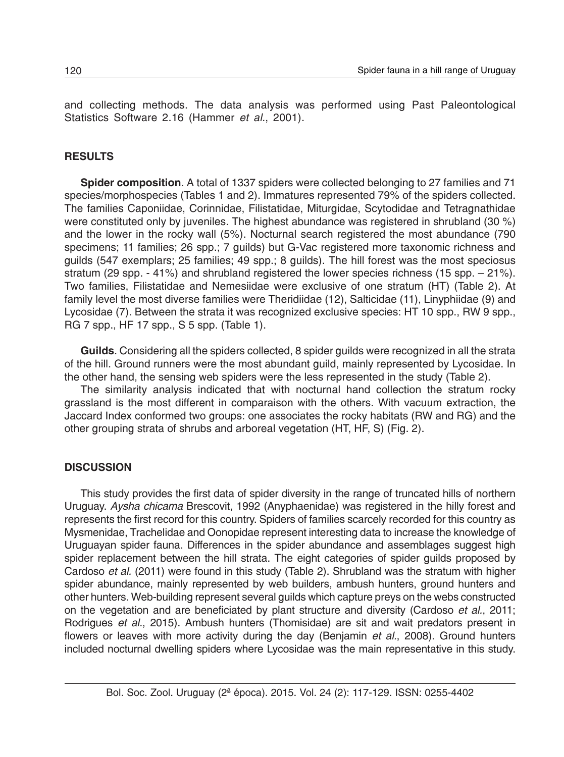and collecting methods. The data analysis was performed using Past Paleontological Statistics Software 2.16 (Hammer *et al.*, 2001).

#### **RESULTS**

**Spider composition**. A total of 1337 spiders were collected belonging to 27 families and 71 species/morphospecies (Tables 1 and 2). Immatures represented 79% of the spiders collected. The families Caponiidae, Corinnidae, Filistatidae, Miturgidae, Scytodidae and Tetragnathidae were constituted only by juveniles. The highest abundance was registered in shrubland (30 %) and the lower in the rocky wall (5%). Nocturnal search registered the most abundance (790 specimens; 11 families; 26 spp.; 7 guilds) but G-Vac registered more taxonomic richness and guilds (547 exemplars; 25 families; 49 spp.; 8 guilds). The hill forest was the most speciosus stratum (29 spp. - 41%) and shrubland registered the lower species richness (15 spp. - 21%). Two families, Filistatidae and Nemesiidae were exclusive of one stratum (HT) (Table 2). At family level the most diverse families were Theridiidae (12), Salticidae (11), Linyphiidae (9) and Lycosidae (7). Between the strata it was recognized exclusive species: HT 10 spp., RW 9 spp., RG 7 spp., HF 17 spp., S 5 spp. (Table 1).

**Guilds**. Considering all the spiders collected, 8 spider guilds were recognized in all the strata of the hill. Ground runners were the most abundant guild, mainly represented by Lycosidae. In the other hand, the sensing web spiders were the less represented in the study (Table 2).

The similarity analysis indicated that with nocturnal hand collection the stratum rocky grassland is the most different in comparaison with the others. With vacuum extraction, the Jaccard Index conformed two groups: one associates the rocky habitats (RW and RG) and the other grouping strata of shrubs and arboreal vegetation (HT, HF, S) (Fig. 2).

#### **DISCUSSION**

This study provides the first data of spider diversity in the range of truncated hills of northern Uruguay. *Aysha chicama* Brescovit, 1992 (Anyphaenidae) was registered in the hilly forest and represents the first record for this country. Spiders of families scarcely recorded for this country as Mysmenidae, Trachelidae and Oonopidae represent interesting data to increase the knowledge of Uruguayan spider fauna. Differences in the spider abundance and assemblages suggest high spider replacement between the hill strata. The eight categories of spider guilds proposed by Cardoso *et al.* (2011) were found in this study (Table 2). Shrubland was the stratum with higher spider abundance, mainly represented by web builders, ambush hunters, ground hunters and other hunters. Web-building represent several guilds which capture preys on the webs constructed on the vegetation and are beneficiated by plant structure and diversity (Cardoso *et al.*, 2011; Rodrigues *et al.*, 2015). Ambush hunters (Thomisidae) are sit and wait predators present in flowers or leaves with more activity during the day (Benjamin *et al.*, 2008). Ground hunters included nocturnal dwelling spiders where Lycosidae was the main representative in this study.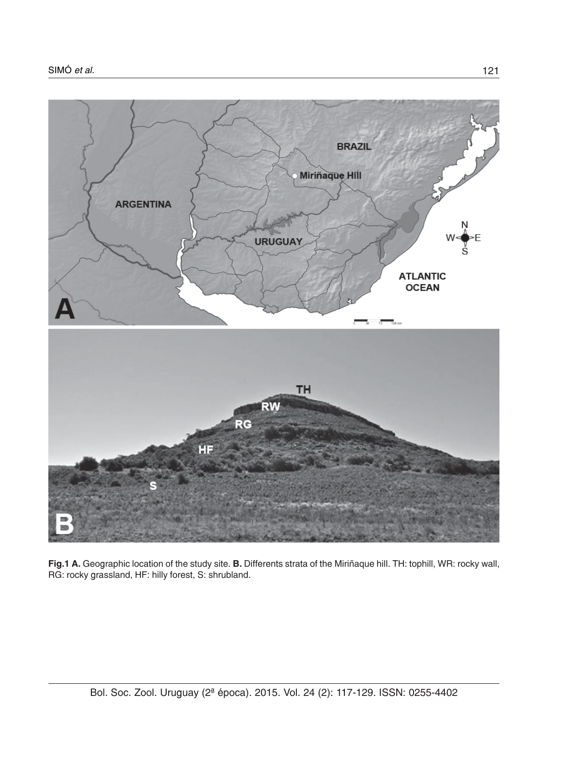

**Fig.1 A.** Geographic location of the study site. **B.** Differents strata of the Miriñaque hill. TH: tophill, WR: rocky wall, RG: rocky grassland, HF: hilly forest, S: shrubland.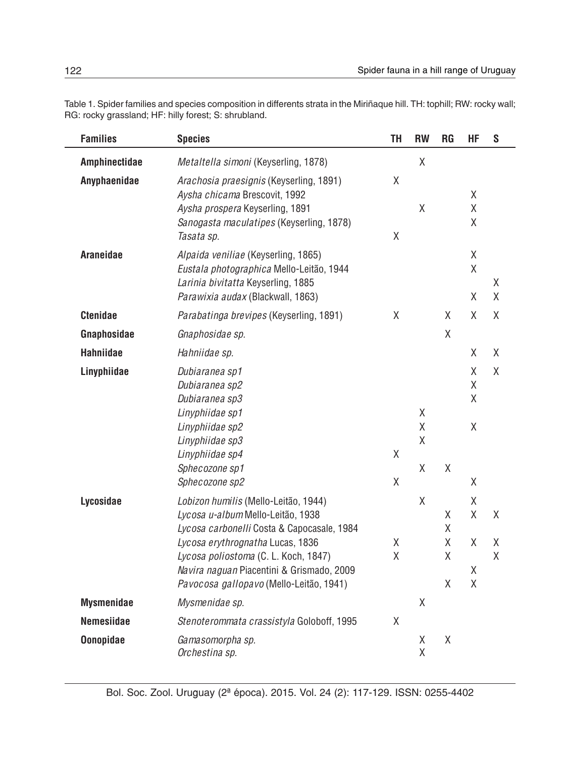Table 1. Spider families and species composition in differents strata in the Miriñaque hill. TH: tophill; RW: rocky wall; RG: rocky grassland; HF: hilly forest; S: shrubland.

| <b>Families</b>   | <b>Species</b>                                                                                                                                                                                                                                                                              | TH     | <b>RW</b>        | <b>RG</b>             | <b>HF</b>                       | S           |
|-------------------|---------------------------------------------------------------------------------------------------------------------------------------------------------------------------------------------------------------------------------------------------------------------------------------------|--------|------------------|-----------------------|---------------------------------|-------------|
| Amphinectidae     | Metaltella simoni (Keyserling, 1878)                                                                                                                                                                                                                                                        |        | Χ                |                       |                                 |             |
| Anyphaenidae      | Arachosia praesignis (Keyserling, 1891)<br>Aysha chicama Brescovit, 1992<br>Aysha prospera Keyserling, 1891<br>Sanogasta maculatipes (Keyserling, 1878)<br>Tasata sp.                                                                                                                       | Χ<br>Χ | Χ                |                       | χ<br>Χ<br>Χ                     |             |
| Araneidae         | Alpaida veniliae (Keyserling, 1865)<br>Eustala photographica Mello-Leitão, 1944<br>Larinia bivitatta Keyserling, 1885<br>Parawixia audax (Blackwall, 1863)                                                                                                                                  |        |                  |                       | Χ<br>Χ<br>Χ                     | Χ<br>Χ      |
| <b>Ctenidae</b>   | Parabatinga brevipes (Keyserling, 1891)                                                                                                                                                                                                                                                     | X      |                  | X                     | Χ                               | Χ           |
| Gnaphosidae       | Gnaphosidae sp.                                                                                                                                                                                                                                                                             |        |                  | Χ                     |                                 |             |
| <b>Hahniidae</b>  | Hahniidae sp.                                                                                                                                                                                                                                                                               |        |                  |                       | Χ                               | Χ           |
| Linyphiidae       | Dubiaranea sp1<br>Dubiaranea sp2<br>Dubiaranea sp3<br>Linyphiidae sp1<br>Linyphiidae sp2<br>Linyphiidae sp3<br>Linyphiidae sp4<br>Sphecozone sp1<br>Sphecozone sp2                                                                                                                          | Χ<br>Χ | X<br>Χ<br>Χ<br>Χ | Χ                     | Χ<br>Χ<br>Χ<br>χ<br>Χ           | Χ           |
| Lycosidae         | Lobizon humilis (Mello-Leitão, 1944)<br>Lycosa u-album Mello-Leitão, 1938<br>Lycosa carbonelli Costa & Capocasale, 1984<br>Lycosa erythrognatha Lucas, 1836<br>Lycosa poliostoma (C. L. Koch, 1847)<br>Navira naguan Piacentini & Grismado, 2009<br>Pavocosa gallopavo (Mello-Leitão, 1941) | Χ<br>Χ | Χ                | Χ<br>Χ<br>Χ<br>Χ<br>Χ | Χ<br>Χ<br>Χ<br>Χ<br>$\mathsf X$ | Χ<br>Χ<br>Χ |
| <b>Mysmenidae</b> | Mysmenidae sp.                                                                                                                                                                                                                                                                              |        | Χ                |                       |                                 |             |
| <b>Nemesiidae</b> | Stenoterommata crassistyla Goloboff, 1995                                                                                                                                                                                                                                                   | Χ      |                  |                       |                                 |             |
| <b>Oonopidae</b>  | Gamasomorpha sp.<br>Orchestina sp.                                                                                                                                                                                                                                                          |        | Χ<br>Χ           | Χ                     |                                 |             |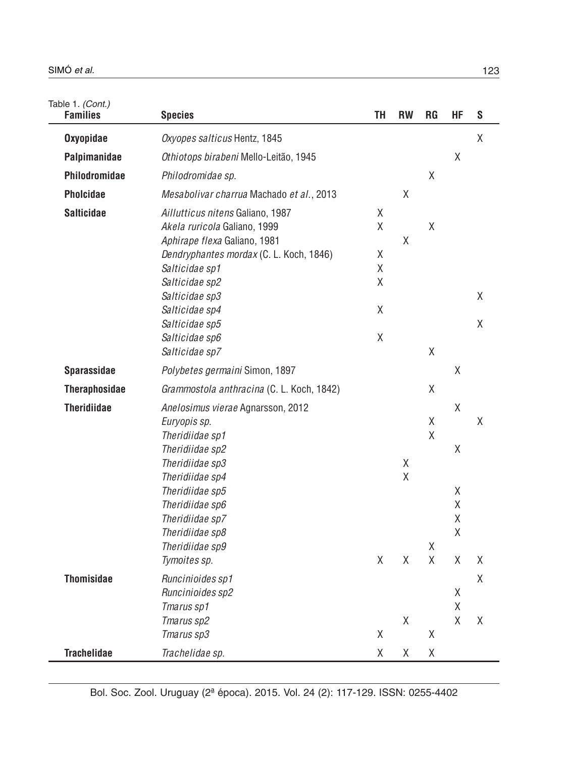Table 1. *(Cont.)*

| <b>Families</b>      | <b>Species</b>                                                                                                                                                                                                                                          | TH                                                         | <b>RW</b>   | RG                                                         | ΗF                              | S      |
|----------------------|---------------------------------------------------------------------------------------------------------------------------------------------------------------------------------------------------------------------------------------------------------|------------------------------------------------------------|-------------|------------------------------------------------------------|---------------------------------|--------|
| <b>Oxyopidae</b>     | Oxyopes salticus Hentz, 1845                                                                                                                                                                                                                            |                                                            |             |                                                            |                                 | χ      |
| Palpimanidae         | Othiotops birabeni Mello-Leitão, 1945                                                                                                                                                                                                                   |                                                            |             |                                                            | Χ                               |        |
| Philodromidae        | Philodromidae sp.                                                                                                                                                                                                                                       |                                                            |             | Χ                                                          |                                 |        |
| <b>Pholcidae</b>     | Mesabolivar charrua Machado et al., 2013                                                                                                                                                                                                                |                                                            | Χ           |                                                            |                                 |        |
| <b>Salticidae</b>    | Aillutticus nitens Galiano, 1987<br>Akela ruricola Galiano, 1999<br>Aphirape flexa Galiano, 1981<br>Dendryphantes mordax (C. L. Koch, 1846)<br>Salticidae sp1<br>Salticidae sp2<br>Salticidae sp3<br>Salticidae sp4<br>Salticidae sp5<br>Salticidae sp6 | χ<br>Χ<br>χ<br>Χ<br>X<br>$\mathsf X$<br>$\mathsf{X}% _{0}$ | Χ           | $\mathsf X$                                                |                                 | X<br>Χ |
|                      | Salticidae sp7                                                                                                                                                                                                                                          |                                                            |             | $\mathsf X$                                                |                                 |        |
| <b>Sparassidae</b>   | Polybetes germaini Simon, 1897                                                                                                                                                                                                                          |                                                            |             |                                                            | Χ                               |        |
| <b>Theraphosidae</b> | Grammostola anthracina (C. L. Koch, 1842)                                                                                                                                                                                                               |                                                            |             | $\mathsf X$                                                |                                 |        |
| <b>Theridiidae</b>   | Anelosimus vierae Agnarsson, 2012<br>Euryopis sp.<br>Theridiidae sp1<br>Theridiidae sp2<br>Theridiidae sp3<br>Theridiidae sp4<br>Theridiidae sp5<br>Theridiidae sp6<br>Theridiidae sp7<br>Theridiidae sp8<br>Theridiidae sp9<br>Tymoites sp.            | X                                                          | Χ<br>Χ<br>Χ | $\mathsf X$<br>$\mathsf{X}$<br>$\mathsf X$<br>$\mathsf{X}$ | Χ<br>Χ<br>X<br>Χ<br>Χ<br>Χ<br>Χ | X<br>Χ |
| <b>Thomisidae</b>    |                                                                                                                                                                                                                                                         |                                                            |             |                                                            |                                 | X      |
|                      | Runcinioides sp1<br>Runcinioides sp2<br>Tmarus sp1<br>Tmarus sp2<br>Tmarus sp3                                                                                                                                                                          | $\mathsf{X}% _{0}$                                         | Χ           | Χ                                                          | Χ<br>$\mathsf X$<br>Χ           | Χ      |
| <b>Trachelidae</b>   | Trachelidae sp.                                                                                                                                                                                                                                         | Χ                                                          | Χ           | Χ                                                          |                                 |        |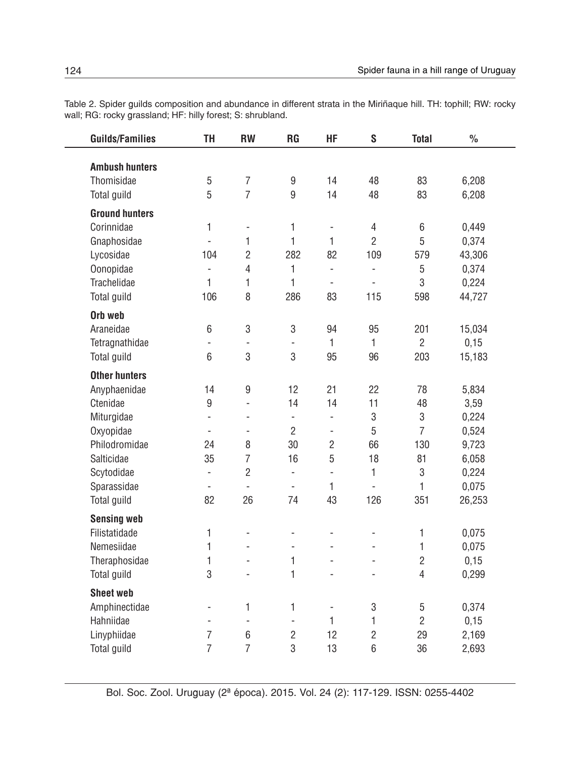Table 2. Spider guilds composition and abundance in different strata in the Miriñaque hill. TH: tophill; RW: rocky wall; RG: rocky grassland; HF: hilly forest; S: shrubland.

| <b>Guilds/Families</b> | TH                       | <b>RW</b>                    | <b>RG</b>                | HF                       | S              | <b>Total</b>   | $\frac{1}{2}$ |
|------------------------|--------------------------|------------------------------|--------------------------|--------------------------|----------------|----------------|---------------|
| <b>Ambush hunters</b>  |                          |                              |                          |                          |                |                |               |
| Thomisidae             | 5                        | $\overline{7}$               | 9                        | 14                       | 48             | 83             | 6,208         |
| Total guild            | 5                        | $\overline{7}$               | 9                        | 14                       | 48             | 83             | 6,208         |
|                        |                          |                              |                          |                          |                |                |               |
| <b>Ground hunters</b>  |                          |                              |                          |                          |                |                |               |
| Corinnidae             | 1                        | $\qquad \qquad \blacksquare$ | $\mathbf{1}$             | ÷,                       | 4              | 6              | 0,449         |
| Gnaphosidae            | L.                       | 1                            | $\mathbf{1}$             | $\mathbf{1}$             | $\overline{2}$ | 5              | 0,374         |
| Lycosidae              | 104                      | $\overline{2}$               | 282                      | 82                       | 109            | 579            | 43,306        |
| Oonopidae              | $\blacksquare$           | $\overline{4}$               | $\mathbf{1}$             | $\overline{\phantom{a}}$ | $\blacksquare$ | 5              | 0,374         |
| Trachelidae            | 1                        | 1                            | 1                        | $\overline{a}$           | $\overline{a}$ | 3              | 0,224         |
| Total guild            | 106                      | 8                            | 286                      | 83                       | 115            | 598            | 44,727        |
| Orb web                |                          |                              |                          |                          |                |                |               |
| Araneidae              | 6                        | 3                            | 3                        | 94                       | 95             | 201            | 15,034        |
| Tetragnathidae         | L,                       | $\qquad \qquad \blacksquare$ | $\overline{\phantom{a}}$ | 1                        | $\mathbf{1}$   | $\overline{2}$ | 0,15          |
| Total guild            | 6                        | 3                            | 3                        | 95                       | 96             | 203            | 15,183        |
| <b>Other hunters</b>   |                          |                              |                          |                          |                |                |               |
| Anyphaenidae           | 14                       | $\boldsymbol{9}$             | 12                       | 21                       | 22             | 78             | 5,834         |
| Ctenidae               | 9                        | $\overline{a}$               | 14                       | 14                       | 11             | 48             | 3,59          |
| Miturgidae             | $\overline{a}$           | $\frac{1}{2}$                | $\frac{1}{2}$            | $\overline{a}$           | 3              | 3              | 0,224         |
| Oxyopidae              | $\overline{\phantom{a}}$ | $\blacksquare$               | $\overline{2}$           | ÷                        | 5              | $\overline{7}$ | 0,524         |
| Philodromidae          | 24                       | 8                            | 30                       | $\overline{2}$           | 66             | 130            | 9,723         |
| Salticidae             | 35                       | $\overline{7}$               | 16                       | 5                        | 18             | 81             | 6,058         |
| Scytodidae             | $\overline{\phantom{a}}$ | $\overline{2}$               | $\overline{a}$           | $\overline{a}$           | 1              | 3              | 0,224         |
| Sparassidae            | $\overline{\phantom{a}}$ | $\overline{a}$               | ä,                       | 1                        | $\frac{1}{2}$  | 1              | 0,075         |
| Total guild            | 82                       | 26                           | 74                       | 43                       | 126            | 351            | 26,253        |
| <b>Sensing web</b>     |                          |                              |                          |                          |                |                |               |
| Filistatidade          | 1                        | $\overline{\phantom{a}}$     | ä,                       | $\overline{a}$           | ÷,             | 1              | 0,075         |
| Nemesiidae             | 1                        | $\overline{a}$               | $\overline{a}$           | $\overline{a}$           | ÷,             | $\mathbf{1}$   | 0,075         |
| Theraphosidae          | 1                        | ÷,                           | 1                        | $\overline{a}$           |                | $\overline{2}$ | 0,15          |
| Total guild            | 3                        | $\overline{a}$               | 1                        | $\overline{\phantom{a}}$ | $\overline{a}$ | $\overline{4}$ | 0,299         |
| <b>Sheet web</b>       |                          |                              |                          |                          |                |                |               |
| Amphinectidae          | ÷,                       | 1                            | $\mathbf{1}$             | $\frac{1}{2}$            | 3              | 5              | 0,374         |
| Hahniidae              | L,                       | $\frac{1}{2}$                | $\frac{1}{2}$            | $\mathbf{1}$             | $\mathbf{1}$   | $\overline{2}$ | 0,15          |
| Linyphiidae            | $\overline{7}$           | 6                            | $\overline{2}$           | 12                       | $\overline{2}$ | 29             | 2,169         |
| Total guild            | $\overline{7}$           | $\overline{7}$               | 3                        | 13                       | 6              | 36             | 2,693         |

 $\overline{\phantom{a}}$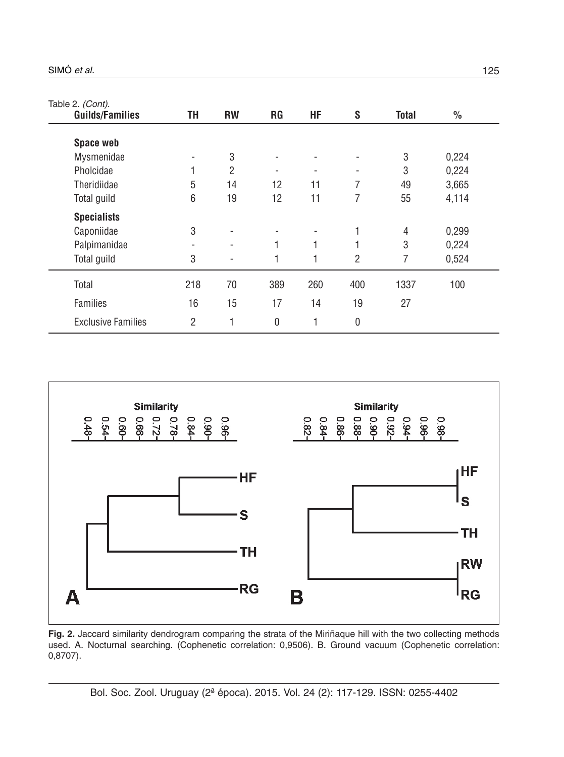| Table 2. (Cont).          |     |           |           |     |                          |              |               |  |
|---------------------------|-----|-----------|-----------|-----|--------------------------|--------------|---------------|--|
| <b>Guilds/Families</b>    | TΗ  | <b>RW</b> | <b>RG</b> | HF  | S                        | <b>Total</b> | $\frac{0}{0}$ |  |
| <b>Space web</b>          |     |           |           |     |                          |              |               |  |
| Mysmenidae                |     | 3         |           |     | $\overline{\phantom{a}}$ | 3            | 0,224         |  |
| Pholcidae                 |     | 2         |           |     | $\overline{\phantom{a}}$ | 3            | 0,224         |  |
| Theridiidae               | 5   | 14        | 12        | 11  | 7                        | 49           | 3,665         |  |
| Total guild               | 6   | 19        | 12        | 11  | 7                        | 55           | 4,114         |  |
| <b>Specialists</b>        |     |           |           |     |                          |              |               |  |
| Caponiidae                | 3   |           |           |     | 1                        | 4            | 0,299         |  |
| Palpimanidae              | -   | -         | 1         | 1   | 1                        | 3            | 0,224         |  |
| Total guild               | 3   |           | 1         |     | $\overline{2}$           | 7            | 0,524         |  |
| Total                     | 218 | 70        | 389       | 260 | 400                      | 1337         | 100           |  |
| <b>Families</b>           | 16  | 15        | 17        | 14  | 19                       | 27           |               |  |
| <b>Exclusive Families</b> | 2   | 1         | 0         | 1   | 0                        |              |               |  |



**Fig. 2.** Jaccard similarity dendrogram comparing the strata of the Miriñaque hill with the two collecting methods used. A. Nocturnal searching. (Cophenetic correlation: 0,9506). B. Ground vacuum (Cophenetic correlation: 0,8707).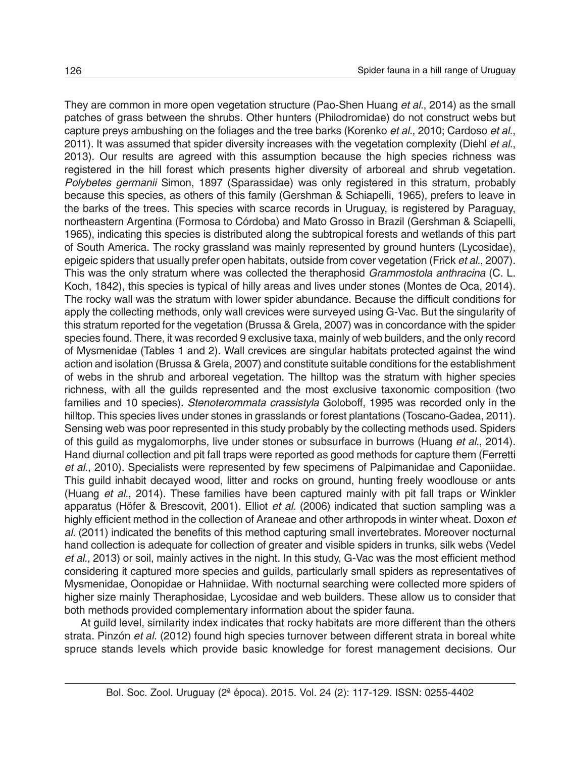They are common in more open vegetation structure (Pao-Shen Huang *et al.*, 2014) as the small patches of grass between the shrubs. Other hunters (Philodromidae) do not construct webs but capture preys ambushing on the foliages and the tree barks (Korenko *et al.*, 2010; Cardoso *et al.*, 2011). It was assumed that spider diversity increases with the vegetation complexity (Diehl *et al.*, 2013). Our results are agreed with this assumption because the high species richness was registered in the hill forest which presents higher diversity of arboreal and shrub vegetation. *Polybetes germanii* Simon, 1897 (Sparassidae) was only registered in this stratum, probably because this species, as others of this family (Gershman & Schiapelli, 1965), prefers to leave in the barks of the trees. This species with scarce records in Uruguay, is registered by Paraguay, northeastern Argentina (Formosa to Córdoba) and Mato Grosso in Brazil (Gershman & Sciapelli, 1965), indicating this species is distributed along the subtropical forests and wetlands of this part of South America. The rocky grassland was mainly represented by ground hunters (Lycosidae), epigeic spiders that usually prefer open habitats, outside from cover vegetation (Frick *et al.*, 2007). This was the only stratum where was collected the theraphosid *Grammostola anthracina* (C. L. Koch, 1842), this species is typical of hilly areas and lives under stones (Montes de Oca, 2014). The rocky wall was the stratum with lower spider abundance. Because the difficult conditions for apply the collecting methods, only wall crevices were surveyed using G-Vac. But the singularity of this stratum reported for the vegetation (Brussa & Grela, 2007) was in concordance with the spider species found. There, it was recorded 9 exclusive taxa, mainly of web builders, and the only record of Mysmenidae (Tables 1 and 2). Wall crevices are singular habitats protected against the wind action and isolation (Brussa & Grela, 2007) and constitute suitable conditions for the establishment of webs in the shrub and arboreal vegetation. The hilltop was the stratum with higher species richness, with all the guilds represented and the most exclusive taxonomic composition (two families and 10 species). *Stenoterommata crassistyla* Goloboff, 1995 was recorded only in the hilltop. This species lives under stones in grasslands or forest plantations (Toscano-Gadea, 2011). Sensing web was poor represented in this study probably by the collecting methods used. Spiders of this guild as mygalomorphs, live under stones or subsurface in burrows (Huang *et al.*, 2014). Hand diurnal collection and pit fall traps were reported as good methods for capture them (Ferretti *et al.*, 2010). Specialists were represented by few specimens of Palpimanidae and Caponiidae. This guild inhabit decayed wood, litter and rocks on ground, hunting freely woodlouse or ants (Huang *et al.*, 2014). These families have been captured mainly with pit fall traps or Winkler apparatus (Höfer & Brescovit, 2001). Elliot *et al.* (2006) indicated that suction sampling was a highly efficient method in the collection of Araneae and other arthropods in winter wheat. Doxon *et al.* (2011) indicated the benefits of this method capturing small invertebrates. Moreover nocturnal hand collection is adequate for collection of greater and visible spiders in trunks, silk webs (Vedel *et al.*, 2013) or soil, mainly actives in the night. In this study, G-Vac was the most efficient method considering it captured more species and guilds, particularly small spiders as representatives of Mysmenidae, Oonopidae or Hahniidae. With nocturnal searching were collected more spiders of higher size mainly Theraphosidae, Lycosidae and web builders. These allow us to consider that both methods provided complementary information about the spider fauna.

At guild level, similarity index indicates that rocky habitats are more different than the others strata. Pinzón *et al.* (2012) found high species turnover between different strata in boreal white spruce stands levels which provide basic knowledge for forest management decisions. Our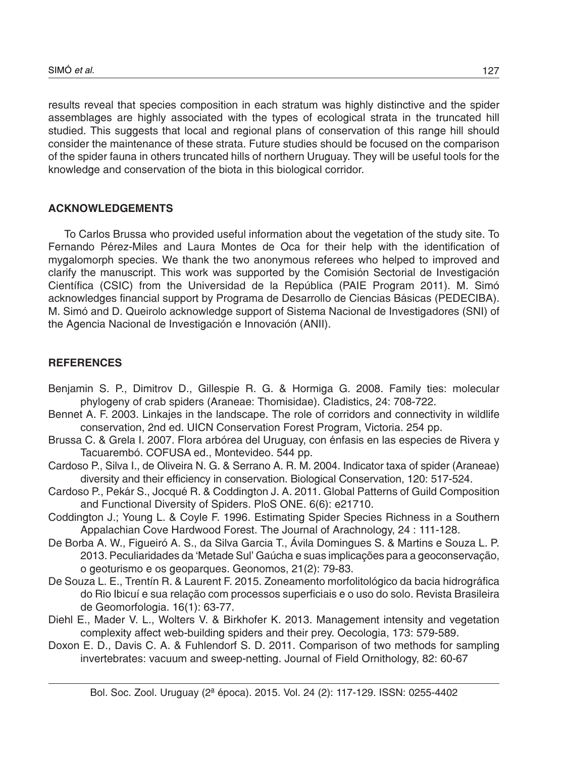results reveal that species composition in each stratum was highly distinctive and the spider assemblages are highly associated with the types of ecological strata in the truncated hill studied. This suggests that local and regional plans of conservation of this range hill should consider the maintenance of these strata. Future studies should be focused on the comparison of the spider fauna in others truncated hills of northern Uruguay. They will be useful tools for the knowledge and conservation of the biota in this biological corridor.

### **ACKNOWLEDGEMENTS**

To Carlos Brussa who provided useful information about the vegetation of the study site. To Fernando Pérez-Miles and Laura Montes de Oca for their help with the identification of mygalomorph species. We thank the two anonymous referees who helped to improved and clarify the manuscript. This work was supported by the Comisión Sectorial de Investigación Científica (CSIC) from the Universidad de la República (PAIE Program 2011). M. Simó acknowledges financial support by Programa de Desarrollo de Ciencias Básicas (PEDECIBA). M. Simó and D. Queirolo acknowledge support of Sistema Nacional de Investigadores (SNI) of the Agencia Nacional de Investigación e Innovación (ANII).

# **REFERENCES**

- Benjamin S. P., Dimitrov D., Gillespie R. G. & Hormiga G. 2008. Family ties: molecular phylogeny of crab spiders (Araneae: Thomisidae). Cladistics, 24: 708-722.
- Bennet A. F. 2003. Linkajes in the landscape. The role of corridors and connectivity in wildlife conservation, 2nd ed. UICN Conservation Forest Program, Victoria. 254 pp.
- Brussa C. & Grela I. 2007. Flora arbórea del Uruguay, con énfasis en las especies de Rivera y Tacuarembó. COFUSA ed., Montevideo. 544 pp.
- Cardoso P., Silva I., de Oliveira N. G. & Serrano A. R. M. 2004. Indicator taxa of spider (Araneae) diversity and their efficiency in conservation. Biological Conservation, 120: 517-524.
- Cardoso P., Pekár S., Jocqué R. & Coddington J. A. 2011. Global Patterns of Guild Composition and Functional Diversity of Spiders. PloS ONE. 6(6): e21710.
- Coddington J.; Young L. & Coyle F. 1996. Estimating Spider Species Richness in a Southern Appalachian Cove Hardwood Forest. The Journal of Arachnology, 24 : 111-128.
- De Borba A. W., Figueiró A. S., da Silva Garcia T., Ávila Domingues S. & Martins e Souza L. P. 2013. Peculiaridades da 'Metade Sul' Gaúcha e suas implicações para a geoconservação, o geoturismo e os geoparques. Geonomos, 21(2): 79-83.
- De Souza L. E., Trentín R. & Laurent F. 2015. Zoneamento morfolitológico da bacia hidrográfica do Rio Ibicuí e sua relação com processos superficiais e o uso do solo. Revista Brasileira de Geomorfologia. 16(1): 63-77.
- Diehl E., Mader V. L., Wolters V. & Birkhofer K. 2013. Management intensity and vegetation complexity affect web-building spiders and their prey. Oecologia, 173: 579-589.
- Doxon E. D., Davis C. A. & Fuhlendorf S. D. 2011. Comparison of two methods for sampling invertebrates: vacuum and sweep-netting. Journal of Field Ornithology, 82: 60-67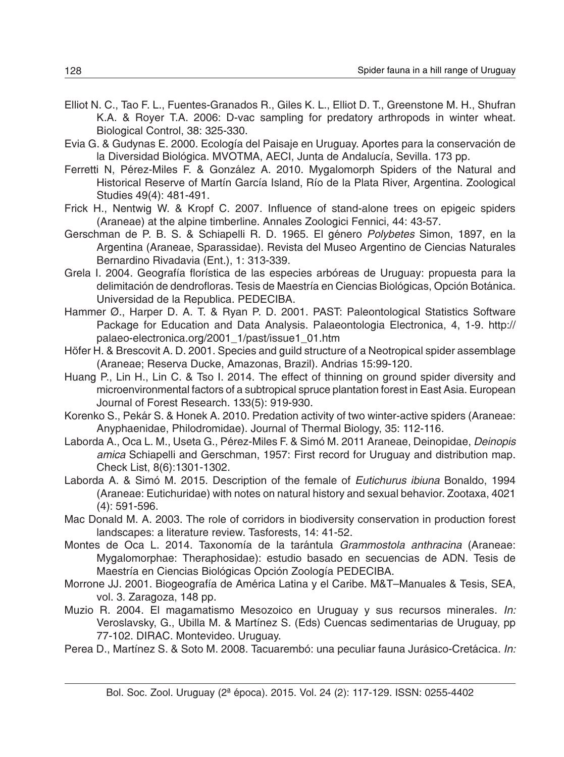- Elliot N. C., Tao F. L., Fuentes-Granados R., Giles K. L., Elliot D. T., Greenstone M. H., Shufran K.A. & Royer T.A. 2006: D-vac sampling for predatory arthropods in winter wheat. Biological Control, 38: 325-330.
- Evia G. & Gudynas E. 2000. Ecología del Paisaje en Uruguay. Aportes para la conservación de la Diversidad Biológica. MVOTMA, AECI, Junta de Andalucía, Sevilla. 173 pp.
- Ferretti N, Pérez-Miles F. & González A. 2010. Mygalomorph Spiders of the Natural and Historical Reserve of Martín García Island, Río de la Plata River, Argentina. Zoological Studies 49(4): 481-491.
- Frick H., Nentwig W. & Kropf C. 2007. Influence of stand-alone trees on epigeic spiders (Araneae) at the alpine timberline. Annales Zoologici Fennici, 44: 43-57.
- Gerschman de P. B. S. & Schiapelli R. D. 1965. El género *Polybetes* Simon, 1897, en la Argentina (Araneae, Sparassidae). Revista del Museo Argentino de Ciencias Naturales Bernardino Rivadavia (Ent.), 1: 313-339.
- Grela I. 2004. Geografía florística de las especies arbóreas de Uruguay: propuesta para la delimitación de dendrofloras. Tesis de Maestría en Ciencias Biológicas, Opción Botánica. Universidad de la Republica. PEDECIBA.
- Hammer Ø., Harper D. A. T. & Ryan P. D. 2001. PAST: Paleontological Statistics Software Package for Education and Data Analysis. Palaeontologia Electronica, 4, 1-9. http:// palaeo-electronica.org/2001\_1/past/issue1\_01.htm
- Höfer H. & Brescovit A. D. 2001. Species and guild structure of a Neotropical spider assemblage (Araneae; Reserva Ducke, Amazonas, Brazil). Andrias 15:99-120.
- Huang P., Lin H., Lin C. & Tso I. 2014. The effect of thinning on ground spider diversity and microenvironmental factors of a subtropical spruce plantation forest in East Asia. European Journal of Forest Research. 133(5): 919-930.
- Korenko S., Pekár S. & Honek A. 2010. Predation activity of two winter-active spiders (Araneae: Anyphaenidae, Philodromidae). Journal of Thermal Biology, 35: 112-116.
- Laborda A., Oca L. M., Useta G., Pérez-Miles F. & Simó M. 2011 Araneae, Deinopidae, *Deinopis amica* Schiapelli and Gerschman, 1957: First record for Uruguay and distribution map. Check List, 8(6):1301-1302.
- Laborda A. & Simó M. 2015. Description of the female of *Eutichurus ibiuna* Bonaldo, 1994 (Araneae: Eutichuridae) with notes on natural history and sexual behavior. Zootaxa, 4021 (4): 591-596.
- Mac Donald M. A. 2003. The role of corridors in biodiversity conservation in production forest landscapes: a literature review. Tasforests, 14: 41-52.
- Montes de Oca L. 2014. Taxonomía de la tarántula *Grammostola anthracina* (Araneae: Mygalomorphae: Theraphosidae): estudio basado en secuencias de ADN. Tesis de Maestría en Ciencias Biológicas Opción Zoología PEDECIBA.
- Morrone JJ. 2001. Biogeografía de América Latina y el Caribe. M&T–Manuales & Tesis, SEA, vol. 3. Zaragoza, 148 pp.
- Muzio R. 2004. El magamatismo Mesozoico en Uruguay y sus recursos minerales. *In:* Veroslavsky, G., Ubilla M. & Martínez S. (Eds) Cuencas sedimentarias de Uruguay, pp 77-102. DIRAC. Montevideo. Uruguay.
- Perea D., Martínez S. & Soto M. 2008. Tacuarembó: una peculiar fauna Jurásico-Cretácica. *In:*